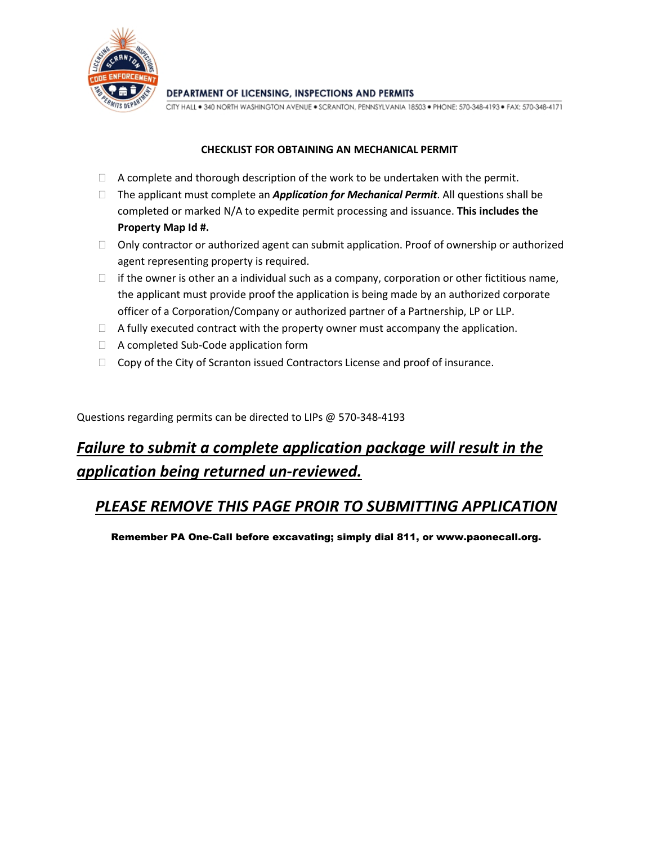

DEPARTMENT OF LICENSING, INSPECTIONS AND PERMITS

CITY HALL . 340 NORTH WASHINGTON AVENUE . SCRANTON, PENNSYLVANIA 18503 . PHONE: 570-348-4193 . FAX: 570-348-4171

## **CHECKLIST FOR OBTAINING AN MECHANICAL PERMIT**

- $\Box$  A complete and thorough description of the work to be undertaken with the permit.
- The applicant must complete an *Application for Mechanical Permit*. All questions shall be completed or marked N/A to expedite permit processing and issuance. **This includes the Property Map Id #.**
- $\Box$  Only contractor or authorized agent can submit application. Proof of ownership or authorized agent representing property is required.
- $\Box$  if the owner is other an a individual such as a company, corporation or other fictitious name, the applicant must provide proof the application is being made by an authorized corporate officer of a Corporation/Company or authorized partner of a Partnership, LP or LLP.
- $\Box$  A fully executed contract with the property owner must accompany the application.
- □ A completed Sub-Code application form
- $\Box$  Copy of the City of Scranton issued Contractors License and proof of insurance.

Questions regarding permits can be directed to LIPs @ 570-348-4193

## *Failure to submit a complete application package will result in the application being returned un-reviewed.*

## *PLEASE REMOVE THIS PAGE PROIR TO SUBMITTING APPLICATION*

Remember PA One-Call before excavating; simply dial 811, or www.paonecall.org.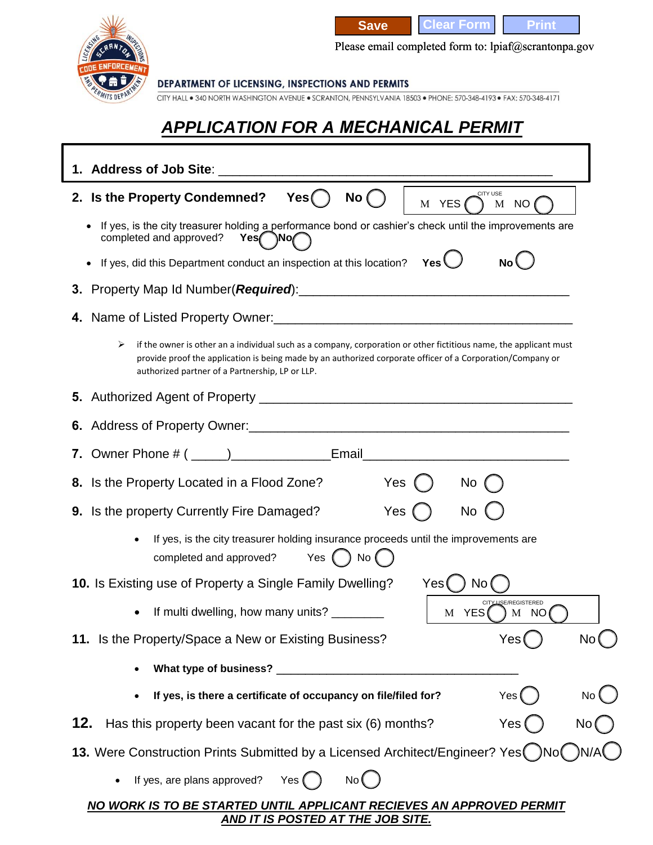

**Save Clear Form Print** 

Please email completed form to: lpiaf@scrantonpa.gov

DEPARTMENT OF LICENSING, INSPECTIONS AND PERMITS

CITY HALL . 340 NORTH WASHINGTON AVENUE . SCRANTON, PENNSYLVANIA 18503 . PHONE: 570-348-4193 . FAX: 570-348-4171

## *APPLICATION FOR A MECHANICAL PERMIT*

| 1. Address of Job Site:                                                                                                                                                                                                                                                                 |
|-----------------------------------------------------------------------------------------------------------------------------------------------------------------------------------------------------------------------------------------------------------------------------------------|
| CITY USE<br>2. Is the Property Condemned?<br>No (<br>Yes(<br>M YES<br>M<br>NO                                                                                                                                                                                                           |
| If yes, is the city treasurer holding a performance bond or cashier's check until the improvements are<br>completed and approved?<br>Yes No                                                                                                                                             |
| If yes, did this Department conduct an inspection at this location? Yes<br><b>No</b>                                                                                                                                                                                                    |
|                                                                                                                                                                                                                                                                                         |
|                                                                                                                                                                                                                                                                                         |
| ➤<br>if the owner is other an a individual such as a company, corporation or other fictitious name, the applicant must<br>provide proof the application is being made by an authorized corporate officer of a Corporation/Company or<br>authorized partner of a Partnership, LP or LLP. |
|                                                                                                                                                                                                                                                                                         |
|                                                                                                                                                                                                                                                                                         |
|                                                                                                                                                                                                                                                                                         |
| Yes<br>8. Is the Property Located in a Flood Zone?<br>No                                                                                                                                                                                                                                |
| 9. Is the property Currently Fire Damaged?<br>Yes<br><b>No</b>                                                                                                                                                                                                                          |
| If yes, is the city treasurer holding insurance proceeds until the improvements are<br>Yes $($ $)$ No $($<br>completed and approved?                                                                                                                                                    |
| 10. Is Existing use of Property a Single Family Dwelling?<br>Yes (<br>No.                                                                                                                                                                                                               |
| <b>ISE/REGISTERED</b><br>If multi dwelling, how many units? ________<br>M YES<br>) M NO                                                                                                                                                                                                 |
| 11. Is the Property/Space a New or Existing Business?<br>Yes                                                                                                                                                                                                                            |
| What type of business?                                                                                                                                                                                                                                                                  |
| If yes, is there a certificate of occupancy on file/filed for?<br>Yes<br>No (                                                                                                                                                                                                           |
| 12.<br>Has this property been vacant for the past six (6) months?<br>No (<br>Yes                                                                                                                                                                                                        |
| 13. Were Construction Prints Submitted by a Licensed Architect/Engineer? Yes ( )No ( )N//                                                                                                                                                                                               |
| If yes, are plans approved?<br>Yes (<br>No (                                                                                                                                                                                                                                            |
| NO WORK IS TO BE STARTED UNTIL APPLICANT RECIEVES AN APPROVED PERMIT<br><u>AND IT IS POSTED AT THE JOB SITE.</u>                                                                                                                                                                        |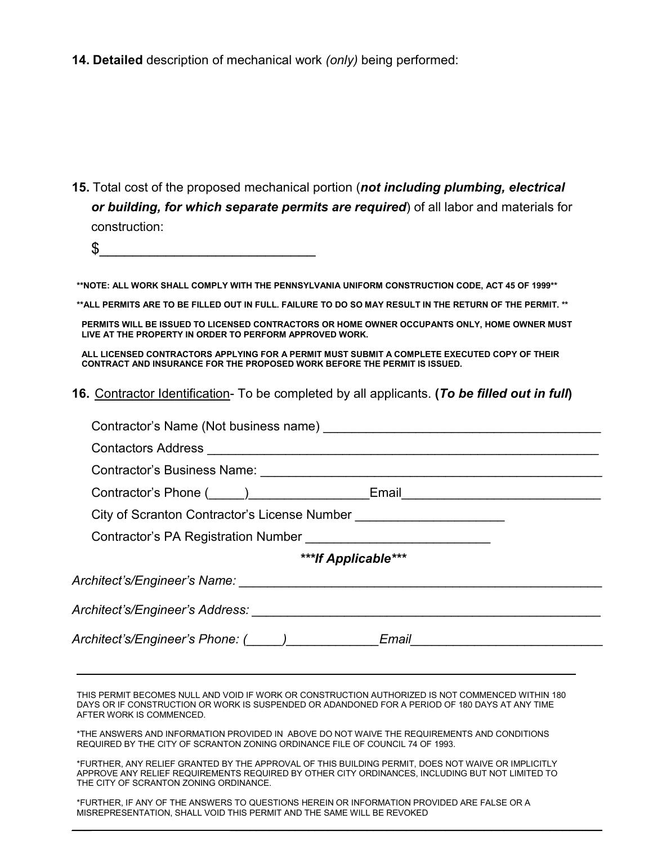**14. Detailed** description of mechanical work *(only)* being performed:

- **15.** Total cost of the proposed mechanical portion (*not including plumbing, electrical or building, for which separate permits are required*) of all labor and materials for construction:
	- \$\_\_\_\_\_\_\_\_\_\_\_\_\_\_\_\_\_\_\_\_\_\_\_\_\_\_

**\*\*NOTE: ALL WORK SHALL COMPLY WITH THE PENNSYLVANIA UNIFORM CONSTRUCTION CODE, ACT 45 OF 1999\*\***

**\*\*ALL PERMITS ARE TO BE FILLED OUT IN FULL. FAILURE TO DO SO MAY RESULT IN THE RETURN OF THE PERMIT. \*\***

**PERMITS WILL BE ISSUED TO LICENSED CONTRACTORS OR HOME OWNER OCCUPANTS ONLY, HOME OWNER MUST LIVE AT THE PROPERTY IN ORDER TO PERFORM APPROVED WORK.** 

**ALL LICENSED CONTRACTORS APPLYING FOR A PERMIT MUST SUBMIT A COMPLETE EXECUTED COPY OF THEIR CONTRACT AND INSURANCE FOR THE PROPOSED WORK BEFORE THE PERMIT IS ISSUED.**

**16.** Contractor Identification- To be completed by all applicants. **(***To be filled out in full***)**

| Contractor's Phone (_____)__________________Email_______________________________                                                                                                                                                                |  |  |  |  |  |
|-------------------------------------------------------------------------------------------------------------------------------------------------------------------------------------------------------------------------------------------------|--|--|--|--|--|
| City of Scranton Contractor's License Number ___________________________________                                                                                                                                                                |  |  |  |  |  |
| Contractor's PA Registration Number _______________________________                                                                                                                                                                             |  |  |  |  |  |
| ***If Applicable***                                                                                                                                                                                                                             |  |  |  |  |  |
|                                                                                                                                                                                                                                                 |  |  |  |  |  |
|                                                                                                                                                                                                                                                 |  |  |  |  |  |
| Architect's/Engineer's Phone: (_____)______________Email________________________                                                                                                                                                                |  |  |  |  |  |
| THIS PERMIT BECOMES NULL AND VOID IF WORK OR CONSTRUCTION AUTHORIZED IS NOT COMMENCED WITHIN 180<br>DAYS OR IF CONSTRUCTION OR WORK IS SUSPENDED OR ADANDONED FOR A PERIOD OF 180 DAYS AT ANY TIME<br>AFTER WORK IS COMMENCED.                  |  |  |  |  |  |
| *THE ANSWERS AND INFORMATION PROVIDED IN ABOVE DO NOT WAIVE THE REQUIREMENTS AND CONDITIONS<br>REQUIRED BY THE CITY OF SCRANTON ZONING ORDINANCE FILE OF COUNCIL 74 OF 1993.                                                                    |  |  |  |  |  |
| *FURTHER, ANY RELIEF GRANTED BY THE APPROVAL OF THIS BUILDING PERMIT, DOES NOT WAIVE OR IMPLICITLY<br>APPROVE ANY RELIEF REQUIREMENTS REQUIRED BY OTHER CITY ORDINANCES, INCLUDING BUT NOT LIMITED TO<br>THE CITY OF SCRANTON ZONING ORDINANCE. |  |  |  |  |  |
| *FURTHER. IF ANY OF THE ANSWERS TO QUESTIONS HEREIN OR INFORMATION PROVIDED ARE FALSE OR A<br>MISREPRESENTATION. SHALL VOID THIS PERMIT AND THE SAME WILL BE REVOKED                                                                            |  |  |  |  |  |

\_\_\_ \_\_\_\_\_\_\_\_\_\_\_\_\_\_\_\_\_\_\_\_\_\_\_\_\_\_\_\_\_\_\_\_\_\_\_\_\_\_\_\_\_\_\_\_\_\_\_\_\_\_\_\_\_\_\_\_\_